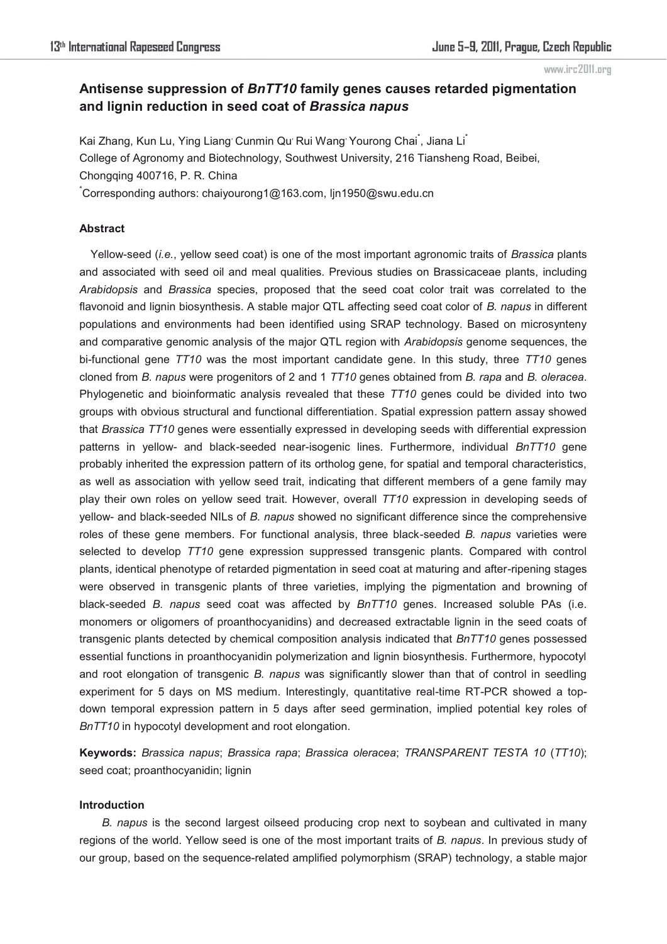# **Antisense suppression of** *BnTT10* **family genes causes retarded pigmentation and lignin reduction in seed coat of** *Brassica napus*

Kai Zhang, Kun Lu, Ying Liang Cunmin Qu Rui Wang Yourong Chai<sup>\*</sup>, Jiana Li<sup>\*</sup> College of Agronomy and Biotechnology, Southwest University, 216 Tiansheng Road, Beibei, Chongqing 400716, P. R. China

\* Corresponding authors: chaiyourong1@163.com, ljn1950@swu.edu.cn

### **Abstract**

Yellow-seed (*i.e.*, yellow seed coat) is one of the most important agronomic traits of *Brassica* plants and associated with seed oil and meal qualities. Previous studies on Brassicaceae plants, including *Arabidopsis* and *Brassica* species, proposed that the seed coat color trait was correlated to the flavonoid and lignin biosynthesis. A stable major QTL affecting seed coat color of *B. napus* in different populations and environments had been identified using SRAP technology. Based on microsynteny and comparative genomic analysis of the major QTL region with *Arabidopsis* genome sequences, the bi-functional gene *TT10* was the most important candidate gene. In this study, three *TT10* genes cloned from *B. napus* were progenitors of 2 and 1 *TT10* genes obtained from *B. rapa* and *B. oleracea*. Phylogenetic and bioinformatic analysis revealed that these *TT10* genes could be divided into two groups with obvious structural and functional differentiation. Spatial expression pattern assay showed that *Brassica TT10* genes were essentially expressed in developing seeds with differential expression patterns in yellow- and black-seeded near-isogenic lines. Furthermore, individual *BnTT10* gene probably inherited the expression pattern of its ortholog gene, for spatial and temporal characteristics, as well as association with yellow seed trait, indicating that different members of a gene family may play their own roles on yellow seed trait. However, overall *TT10* expression in developing seeds of yellow- and black-seeded NILs of *B. napus* showed no significant difference since the comprehensive roles of these gene members. For functional analysis, three black-seeded *B. napus* varieties were selected to develop *TT10* gene expression suppressed transgenic plants. Compared with control plants, identical phenotype of retarded pigmentation in seed coat at maturing and after-ripening stages were observed in transgenic plants of three varieties, implying the pigmentation and browning of black-seeded *B. napus* seed coat was affected by *BnTT10* genes. Increased soluble PAs (i.e. monomers or oligomers of proanthocyanidins) and decreased extractable lignin in the seed coats of transgenic plants detected by chemical composition analysis indicated that *BnTT10* genes possessed essential functions in proanthocyanidin polymerization and lignin biosynthesis. Furthermore, hypocotyl and root elongation of transgenic *B. napus* was significantly slower than that of control in seedling experiment for 5 days on MS medium. Interestingly, quantitative real-time RT-PCR showed a topdown temporal expression pattern in 5 days after seed germination, implied potential key roles of *BnTT10* in hypocotyl development and root elongation.

**Keywords:** *Brassica napus*; *Brassica rapa*; *Brassica oleracea*; *TRANSPARENT TESTA 10* (*TT10*); seed coat; proanthocyanidin; lignin

## **Introduction**

*B. napus* is the second largest oilseed producing crop next to soybean and cultivated in many regions of the world. Yellow seed is one of the most important traits of *B. napus*. In previous study of our group, based on the sequence-related amplified polymorphism (SRAP) technology, a stable major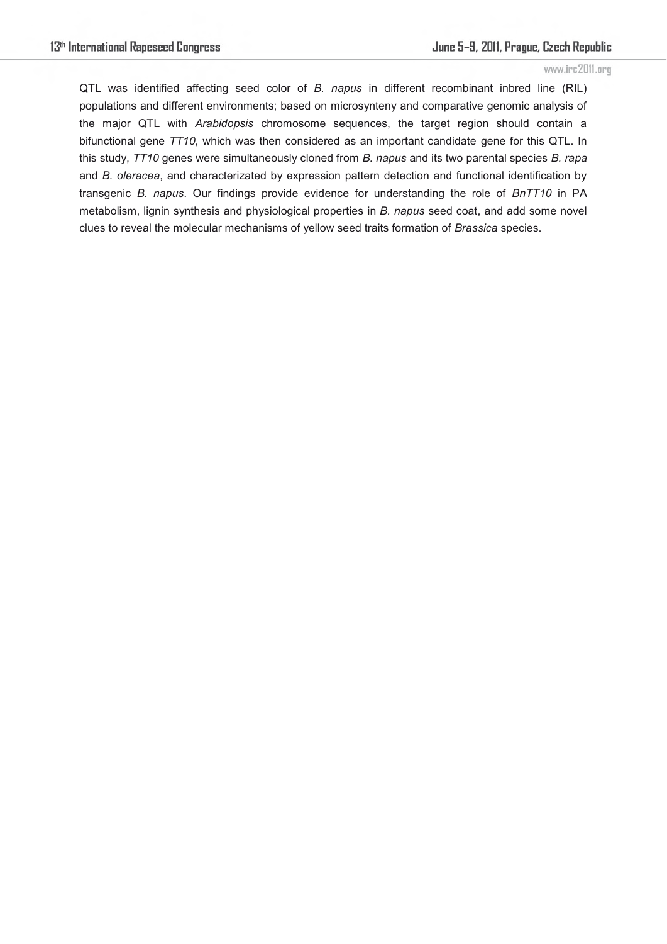QTL was identified affecting seed color of *B. napus* in different recombinant inbred line (RIL) populations and different environments; based on microsynteny and comparative genomic analysis of the major QTL with *Arabidopsis* chromosome sequences, the target region should contain a bifunctional gene *TT10*, which was then considered as an important candidate gene for this QTL. In this study, *TT10* genes were simultaneously cloned from *B. napus* and its two parental species *B. rapa* and *B. oleracea*, and characterizated by expression pattern detection and functional identification by transgenic *B. napus*. Our findings provide evidence for understanding the role of *BnTT10* in PA metabolism, lignin synthesis and physiological properties in *B. napus* seed coat, and add some novel clues to reveal the molecular mechanisms of yellow seed traits formation of *Brassica* species.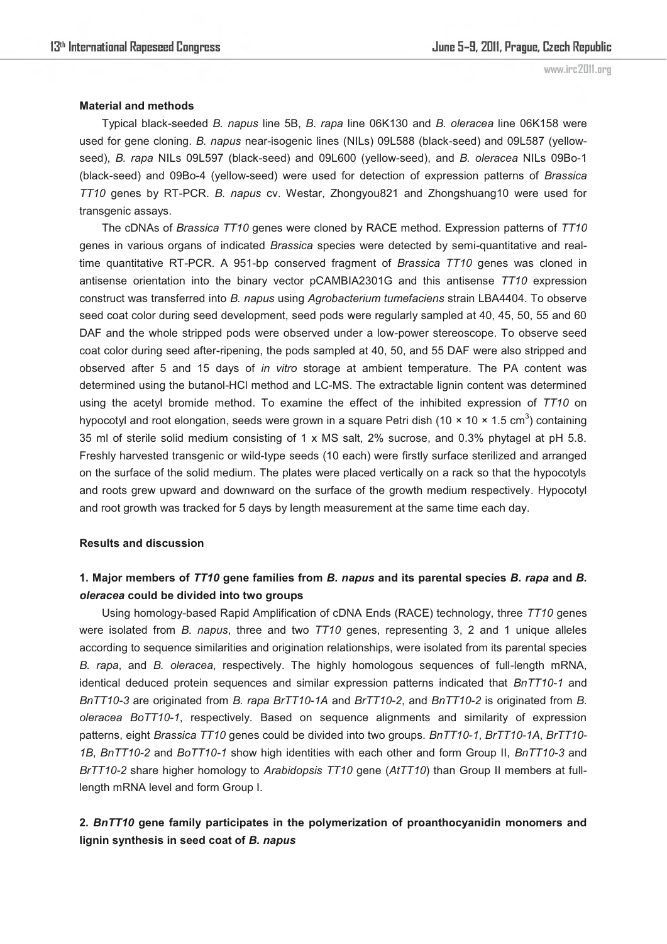### **Material and methods**

Typical black-seeded *B. napus* line 5B, *B*. *rapa* line 06K130 and *B. oleracea* line 06K158 were used for gene cloning. *B. napus* near-isogenic lines (NILs) 09L588 (black-seed) and 09L587 (yellowseed), *B. rapa* NILs 09L597 (black-seed) and 09L600 (yellow-seed), and *B. oleracea* NILs 09Bo-1 (black-seed) and 09Bo-4 (yellow-seed) were used for detection of expression patterns of *Brassica TT10* genes by RT-PCR. *B. napus* cv. Westar, Zhongyou821 and Zhongshuang10 were used for transgenic assays.

The cDNAs of *Brassica TT10* genes were cloned by RACE method. Expression patterns of *TT10*  genes in various organs of indicated *Brassica* species were detected by semi-quantitative and realtime quantitative RT-PCR. A 951-bp conserved fragment of *Brassica TT10* genes was cloned in antisense orientation into the binary vector pCAMBIA2301G and this antisense *TT10* expression construct was transferred into *B. napus* using *Agrobacterium tumefaciens* strain LBA4404. To observe seed coat color during seed development, seed pods were regularly sampled at 40, 45, 50, 55 and 60 DAF and the whole stripped pods were observed under a low-power stereoscope. To observe seed coat color during seed after-ripening, the pods sampled at 40, 50, and 55 DAF were also stripped and observed after 5 and 15 days of *in vitro* storage at ambient temperature. The PA content was determined using the butanol-HCl method and LC-MS. The extractable lignin content was determined using the acetyl bromide method. To examine the effect of the inhibited expression of *TT10* on hypocotyl and root elongation, seeds were grown in a square Petri dish (10 × 10 × 1.5 cm<sup>3</sup>) containing 35 ml of sterile solid medium consisting of 1 x MS salt, 2% sucrose, and 0.3% phytagel at pH 5.8. Freshly harvested transgenic or wild-type seeds (10 each) were firstly surface sterilized and arranged on the surface of the solid medium. The plates were placed vertically on a rack so that the hypocotyls and roots grew upward and downward on the surface of the growth medium respectively. Hypocotyl and root growth was tracked for 5 days by length measurement at the same time each day.

### **Results and discussion**

## **1. Major members of** *TT10* **gene families from** *B. napus* **and its parental species** *B. rapa* **and** *B. oleracea* **could be divided into two groups**

Using homology-based Rapid Amplification of cDNA Ends (RACE) technology, three *TT10* genes were isolated from *B. napus*, three and two *TT10* genes, representing 3, 2 and 1 unique alleles according to sequence similarities and origination relationships, were isolated from its parental species *B. rapa*, and *B. oleracea*, respectively. The highly homologous sequences of full-length mRNA, identical deduced protein sequences and similar expression patterns indicated that *BnTT10-1* and *BnTT10-3* are originated from *B. rapa BrTT10-1A* and *BrTT10-2*, and *BnTT10-2* is originated from *B. oleracea BoTT10-1*, respectively*.* Based on sequence alignments and similarity of expression patterns, eight *Brassica TT10* genes could be divided into two groups. *BnTT10-1*, *BrTT10-1A*, *BrTT10- 1B*, *BnTT10-2* and *BoTT10-1* show high identities with each other and form Group II, *BnTT10-3* and *BrTT10-2* share higher homology to *Arabidopsis TT10* gene (*AtTT10*) than Group II members at fulllength mRNA level and form Group I.

## **2.** *BnTT10* **gene family participates in the polymerization of proanthocyanidin monomers and lignin synthesis in seed coat of** *B. napus*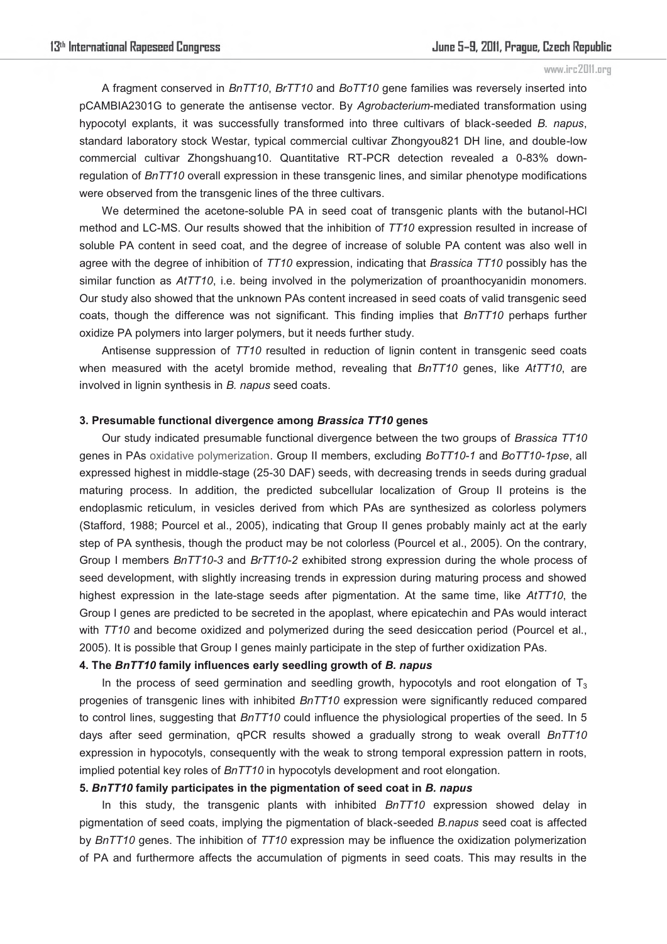A fragment conserved in *BnTT10*, *BrTT10* and *BoTT10* gene families was reversely inserted into pCAMBIA2301G to generate the antisense vector. By *Agrobacterium*-mediated transformation using hypocotyl explants, it was successfully transformed into three cultivars of black-seeded *B. napus*, standard laboratory stock Westar, typical commercial cultivar Zhongyou821 DH line, and double-low commercial cultivar Zhongshuang10. Quantitative RT-PCR detection revealed a 0-83% downregulation of *BnTT10* overall expression in these transgenic lines, and similar phenotype modifications were observed from the transgenic lines of the three cultivars.

We determined the acetone-soluble PA in seed coat of transgenic plants with the butanol-HCl method and LC-MS. Our results showed that the inhibition of *TT10* expression resulted in increase of soluble PA content in seed coat, and the degree of increase of soluble PA content was also well in agree with the degree of inhibition of *TT10* expression, indicating that *Brassica TT10* possibly has the similar function as *AtTT10*, i.e. being involved in the polymerization of proanthocyanidin monomers. Our study also showed that the unknown PAs content increased in seed coats of valid transgenic seed coats, though the difference was not significant. This finding implies that *BnTT10* perhaps further oxidize PA polymers into larger polymers, but it needs further study.

Antisense suppression of *TT10* resulted in reduction of lignin content in transgenic seed coats when measured with the acetyl bromide method, revealing that *BnTT10* genes, like *AtTT10*, are involved in lignin synthesis in *B. napus* seed coats.

#### **3. Presumable functional divergence among** *Brassica TT10* **genes**

Our study indicated presumable functional divergence between the two groups of *Brassica TT10* genes in PAs oxidative polymerization. Group II members, excluding *BoTT10-1* and *BoTT10-1pse*, all expressed highest in middle-stage (25-30 DAF) seeds, with decreasing trends in seeds during gradual maturing process. In addition, the predicted subcellular localization of Group II proteins is the endoplasmic reticulum, in vesicles derived from which PAs are synthesized as colorless polymers (Stafford, 1988; Pourcel et al., 2005), indicating that Group II genes probably mainly act at the early step of PA synthesis, though the product may be not colorless (Pourcel et al., 2005). On the contrary, Group I members *BnTT10-3* and *BrTT10-2* exhibited strong expression during the whole process of seed development, with slightly increasing trends in expression during maturing process and showed highest expression in the late-stage seeds after pigmentation. At the same time, like *AtTT10*, the Group I genes are predicted to be secreted in the apoplast, where epicatechin and PAs would interact with *TT10* and become oxidized and polymerized during the seed desiccation period (Pourcel et al., 2005). It is possible that Group I genes mainly participate in the step of further oxidization PAs.

### **4. The** *BnTT10* **family influences early seedling growth of** *B. napus*

In the process of seed germination and seedling growth, hypocotyls and root elongation of  $T_3$ progenies of transgenic lines with inhibited *BnTT10* expression were significantly reduced compared to control lines, suggesting that *BnTT10* could influence the physiological properties of the seed. In 5 days after seed germination, qPCR results showed a gradually strong to weak overall *BnTT10* expression in hypocotyls, consequently with the weak to strong temporal expression pattern in roots, implied potential key roles of *BnTT10* in hypocotyls development and root elongation.

## **5.** *BnTT10* **family participates in the pigmentation of seed coat in** *B. napus*

In this study, the transgenic plants with inhibited *BnTT10* expression showed delay in pigmentation of seed coats, implying the pigmentation of black-seeded *B.napus* seed coat is affected by *BnTT10* genes. The inhibition of *TT10* expression may be influence the oxidization polymerization of PA and furthermore affects the accumulation of pigments in seed coats. This may results in the